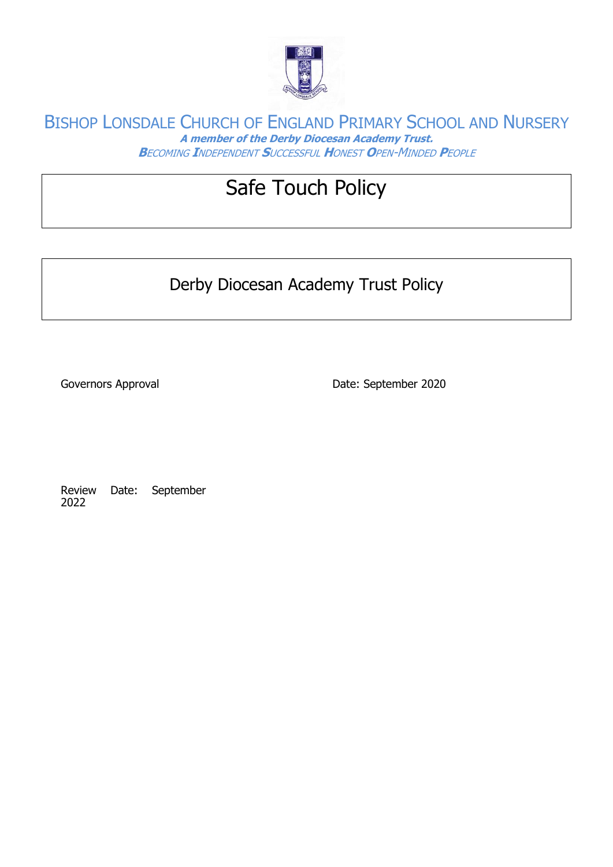

# Safe Touch Policy

Derby Diocesan Academy Trust Policy

Governors Approval **Date: September 2020** 

Review Date: September 2022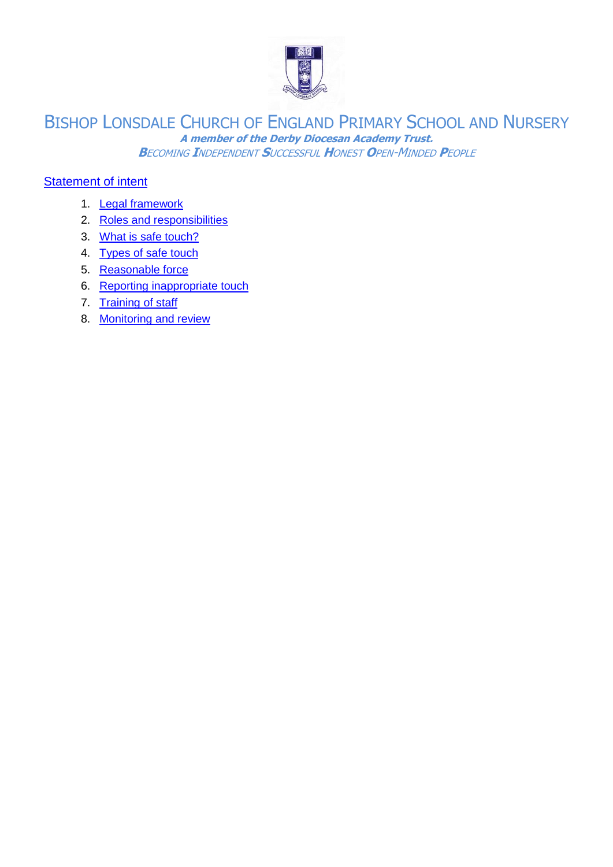

#### [Statement of intent](#page-2-0)

- 1. [Legal framework](#page-3-0)
- 2. [Roles and responsibilities](#page-3-1)
- 3. [What is safe touch?](#page-3-2)
- 4. [Types of safe touch](#page-4-0)
- 5. [Reasonable force](#page-5-0)
- 6. [Reporting inappropriate touch](#page-5-1)
- 7. [Training of staff](#page-6-0)
- 8. [Monitoring and review](#page-6-1)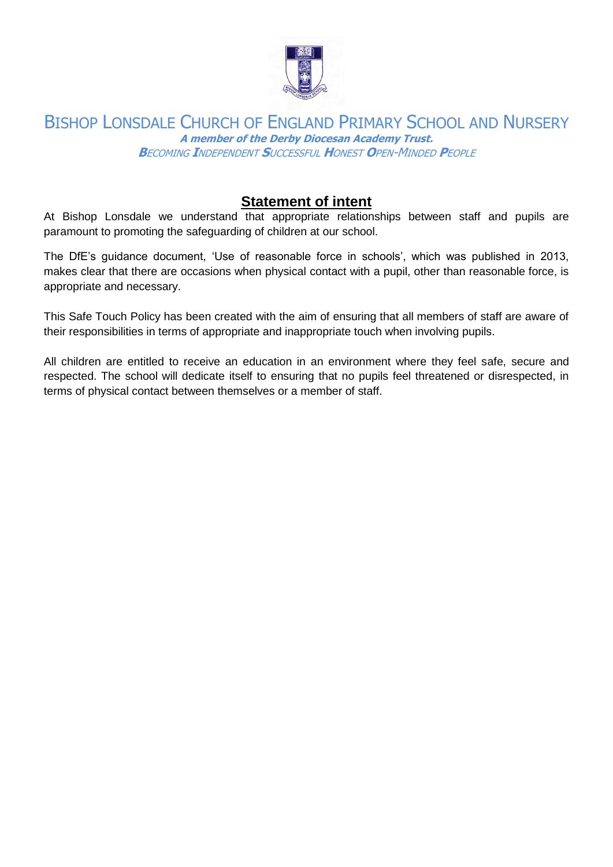

# **Statement of intent**

<span id="page-2-0"></span>At Bishop Lonsdale we understand that appropriate relationships between staff and pupils are paramount to promoting the safeguarding of children at our school.

The DfE's guidance document, 'Use of reasonable force in schools', which was published in 2013, makes clear that there are occasions when physical contact with a pupil, other than reasonable force, is appropriate and necessary.

This Safe Touch Policy has been created with the aim of ensuring that all members of staff are aware of their responsibilities in terms of appropriate and inappropriate touch when involving pupils.

All children are entitled to receive an education in an environment where they feel safe, secure and respected. The school will dedicate itself to ensuring that no pupils feel threatened or disrespected, in terms of physical contact between themselves or a member of staff.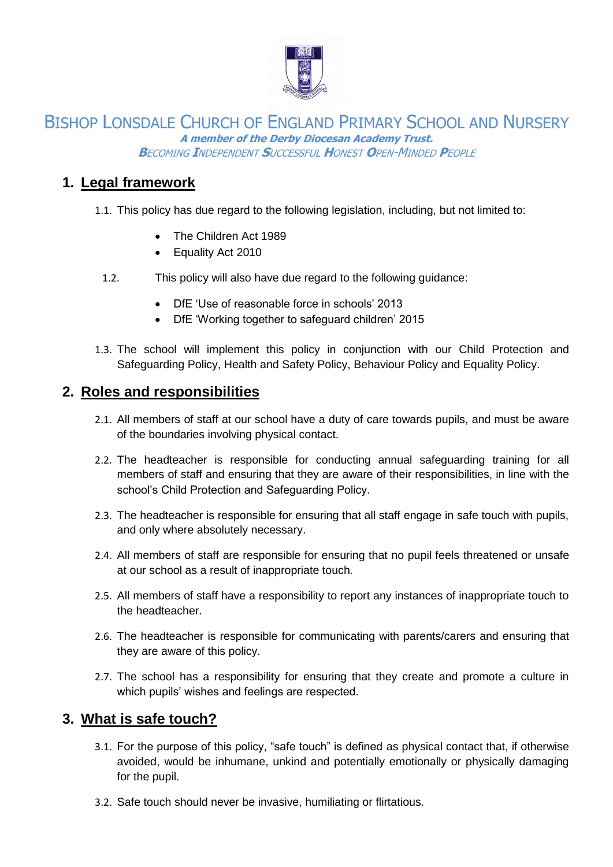

# <span id="page-3-0"></span>**1. Legal framework**

- 1.1. This policy has due regard to the following legislation, including, but not limited to:
	- The Children Act 1989
	- Equality Act 2010
	- 1.2. This policy will also have due regard to the following guidance:
		- DfF 'Use of reasonable force in schools' 2013
		- DfE 'Working together to safeguard children' 2015
- 1.3. The school will implement this policy in conjunction with our Child Protection and Safeguarding Policy, Health and Safety Policy, Behaviour Policy and Equality Policy.

## <span id="page-3-1"></span>**2. Roles and responsibilities**

- 2.1. All members of staff at our school have a duty of care towards pupils, and must be aware of the boundaries involving physical contact.
- 2.2. The headteacher is responsible for conducting annual safeguarding training for all members of staff and ensuring that they are aware of their responsibilities, in line with the school's Child Protection and Safeguarding Policy.
- 2.3. The headteacher is responsible for ensuring that all staff engage in safe touch with pupils, and only where absolutely necessary.
- 2.4. All members of staff are responsible for ensuring that no pupil feels threatened or unsafe at our school as a result of inappropriate touch.
- 2.5. All members of staff have a responsibility to report any instances of inappropriate touch to the headteacher.
- 2.6. The headteacher is responsible for communicating with parents/carers and ensuring that they are aware of this policy.
- 2.7. The school has a responsibility for ensuring that they create and promote a culture in which pupils' wishes and feelings are respected.

## <span id="page-3-2"></span>**3. What is safe touch?**

- 3.1. For the purpose of this policy, "safe touch" is defined as physical contact that, if otherwise avoided, would be inhumane, unkind and potentially emotionally or physically damaging for the pupil.
- 3.2. Safe touch should never be invasive, humiliating or flirtatious.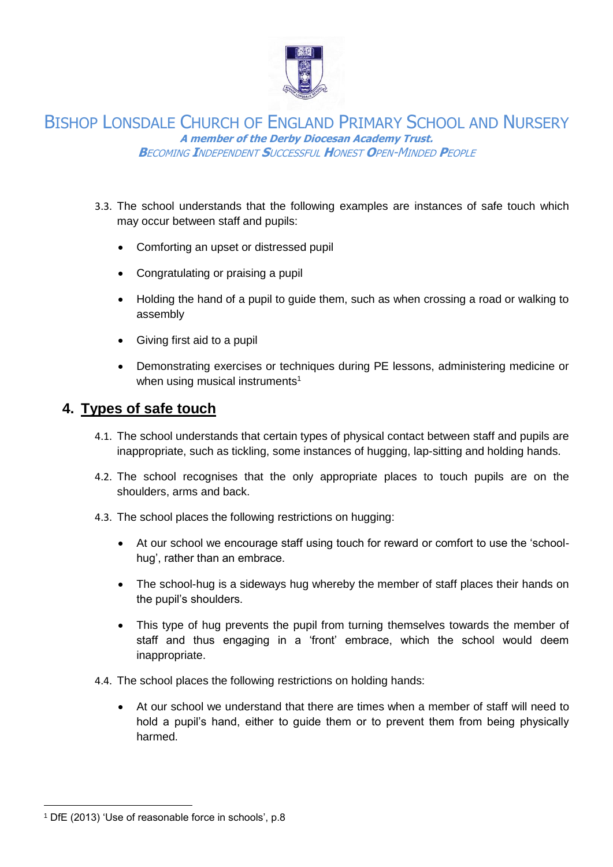

- 3.3. The school understands that the following examples are instances of safe touch which may occur between staff and pupils:
	- Comforting an upset or distressed pupil
	- Congratulating or praising a pupil
	- Holding the hand of a pupil to guide them, such as when crossing a road or walking to assembly
	- Giving first aid to a pupil
	- Demonstrating exercises or techniques during PE lessons, administering medicine or when using musical instruments<sup>1</sup>

## <span id="page-4-0"></span>**4. Types of safe touch**

- 4.1. The school understands that certain types of physical contact between staff and pupils are inappropriate, such as tickling, some instances of hugging, lap-sitting and holding hands.
- 4.2. The school recognises that the only appropriate places to touch pupils are on the shoulders, arms and back.
- 4.3. The school places the following restrictions on hugging:
	- At our school we encourage staff using touch for reward or comfort to use the 'schoolhug', rather than an embrace.
	- The school-hug is a sideways hug whereby the member of staff places their hands on the pupil's shoulders.
	- This type of hug prevents the pupil from turning themselves towards the member of staff and thus engaging in a 'front' embrace, which the school would deem inappropriate.
- 4.4. The school places the following restrictions on holding hands:
	- At our school we understand that there are times when a member of staff will need to hold a pupil's hand, either to guide them or to prevent them from being physically harmed.

l

<sup>1</sup> DfE (2013) 'Use of reasonable force in schools', p.8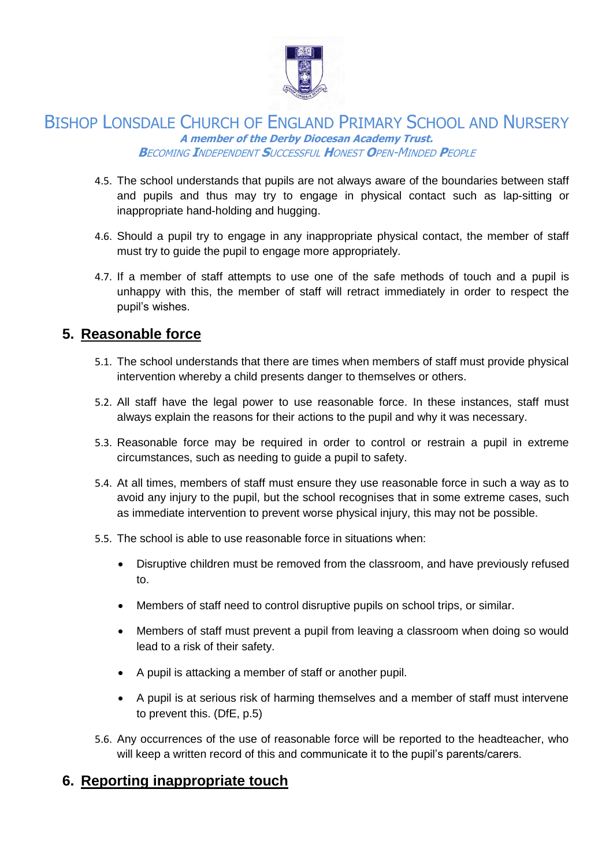

- 4.5. The school understands that pupils are not always aware of the boundaries between staff and pupils and thus may try to engage in physical contact such as lap-sitting or inappropriate hand-holding and hugging.
- 4.6. Should a pupil try to engage in any inappropriate physical contact, the member of staff must try to guide the pupil to engage more appropriately.
- 4.7. If a member of staff attempts to use one of the safe methods of touch and a pupil is unhappy with this, the member of staff will retract immediately in order to respect the pupil's wishes.

# <span id="page-5-0"></span>**5. Reasonable force**

- 5.1. The school understands that there are times when members of staff must provide physical intervention whereby a child presents danger to themselves or others.
- 5.2. All staff have the legal power to use reasonable force. In these instances, staff must always explain the reasons for their actions to the pupil and why it was necessary.
- 5.3. Reasonable force may be required in order to control or restrain a pupil in extreme circumstances, such as needing to guide a pupil to safety.
- 5.4. At all times, members of staff must ensure they use reasonable force in such a way as to avoid any injury to the pupil, but the school recognises that in some extreme cases, such as immediate intervention to prevent worse physical injury, this may not be possible.
- 5.5. The school is able to use reasonable force in situations when:
	- Disruptive children must be removed from the classroom, and have previously refused to.
	- Members of staff need to control disruptive pupils on school trips, or similar.
	- Members of staff must prevent a pupil from leaving a classroom when doing so would lead to a risk of their safety.
	- A pupil is attacking a member of staff or another pupil.
	- A pupil is at serious risk of harming themselves and a member of staff must intervene to prevent this. (DfE, p.5)
- 5.6. Any occurrences of the use of reasonable force will be reported to the headteacher, who will keep a written record of this and communicate it to the pupil's parents/carers.

# <span id="page-5-1"></span>**6. Reporting inappropriate touch**